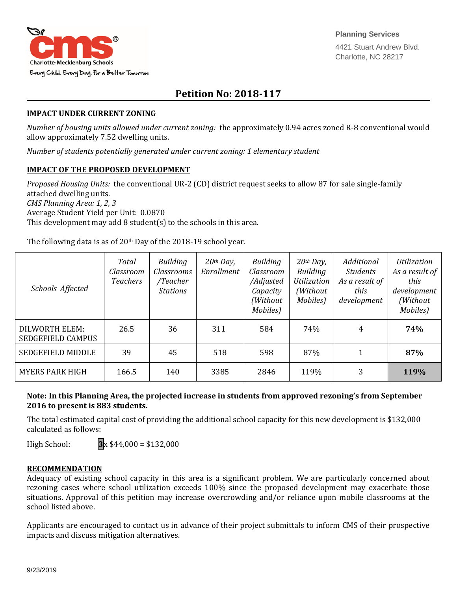

# **Petition No: 2018-117**

#### **IMPACT UNDER CURRENT ZONING**

*Number of housing units allowed under current zoning:* the approximately 0.94 acres zoned R-8 conventional would allow approximately 7.52 dwelling units.

*Number of students potentially generated under current zoning: 1 elementary student*

### **IMPACT OF THE PROPOSED DEVELOPMENT**

*Proposed Housing Units:* the conventional UR-2 (CD) district request seeks to allow 87 for sale single-family attached dwelling units. *CMS Planning Area: 1, 2, 3* Average Student Yield per Unit: 0.0870 This development may add 8 student(s) to the schools in this area.

The following data is as of 20<sup>th</sup> Day of the 2018-19 school year.

| Schools Affected                           | Total<br>Classroom<br>Teachers | <b>Building</b><br><i>Classrooms</i><br>/Teacher<br><b>Stations</b> | $20th$ Day,<br>Enrollment | Building<br>Classroom<br>/Adjusted<br>Capacity<br>(Without)<br>Mobiles) | $20th$ Day,<br>Building<br>Utilization<br>(Without)<br>Mobiles) | Additional<br><b>Students</b><br>As a result of<br>this<br>development | <i><u><b>Utilization</b></u></i><br>As a result of<br>this<br>development<br>(Without<br>Mobiles) |
|--------------------------------------------|--------------------------------|---------------------------------------------------------------------|---------------------------|-------------------------------------------------------------------------|-----------------------------------------------------------------|------------------------------------------------------------------------|---------------------------------------------------------------------------------------------------|
| DILWORTH ELEM:<br><b>SEDGEFIELD CAMPUS</b> | 26.5                           | 36                                                                  | 311                       | 584                                                                     | 74%                                                             | 4                                                                      | 74%                                                                                               |
| <b>SEDGEFIELD MIDDLE</b>                   | 39                             | 45                                                                  | 518                       | 598                                                                     | 87%                                                             |                                                                        | 87%                                                                                               |
| <b>MYERS PARK HIGH</b>                     | 166.5                          | 140                                                                 | 3385                      | 2846                                                                    | 119%                                                            | 3                                                                      | 119%                                                                                              |

## **Note: In this Planning Area, the projected increase in students from approved rezoning's from September 2016 to present is 883 students.**

The total estimated capital cost of providing the additional school capacity for this new development is \$132,000 calculated as follows:

High School: **3**x \$44,000 = \$132,000

#### **RECOMMENDATION**

Adequacy of existing school capacity in this area is a significant problem. We are particularly concerned about rezoning cases where school utilization exceeds 100% since the proposed development may exacerbate those situations. Approval of this petition may increase overcrowding and/or reliance upon mobile classrooms at the school listed above.

Applicants are encouraged to contact us in advance of their project submittals to inform CMS of their prospective impacts and discuss mitigation alternatives.